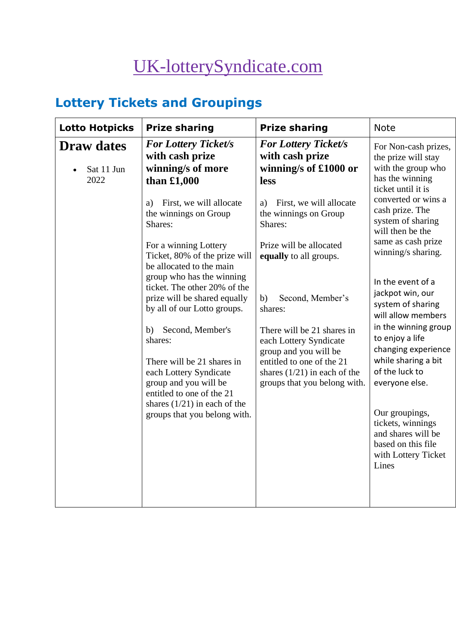# [UK-lotterySyndicate.com](http://www.uk-lotterysyndicate.com/)

## **Lottery Tickets and Groupings**

| <b>Lotto Hotpicks</b>                   | <b>Prize sharing</b>                                                                                                                                                                                                                                                                                                                                                                                  | <b>Prize sharing</b>                                                                                                                                                                                                                                                         | <b>Note</b>                                                                                                                                                                                                                                                                                                                                                                                                                                                                                                                                                                   |
|-----------------------------------------|-------------------------------------------------------------------------------------------------------------------------------------------------------------------------------------------------------------------------------------------------------------------------------------------------------------------------------------------------------------------------------------------------------|------------------------------------------------------------------------------------------------------------------------------------------------------------------------------------------------------------------------------------------------------------------------------|-------------------------------------------------------------------------------------------------------------------------------------------------------------------------------------------------------------------------------------------------------------------------------------------------------------------------------------------------------------------------------------------------------------------------------------------------------------------------------------------------------------------------------------------------------------------------------|
| <b>Draw dates</b><br>Sat 11 Jun<br>2022 | <b>For Lottery Ticket/s</b><br>with cash prize<br>winning/s of more<br>than $£1,000$<br>First, we will allocate<br>a)<br>the winnings on Group<br>Shares:<br>For a winning Lottery<br>Ticket, 80% of the prize will<br>be allocated to the main<br>group who has the winning<br>ticket. The other 20% of the<br>prize will be shared equally<br>by all of our Lotto groups.<br>Second, Member's<br>b) | <b>For Lottery Ticket/s</b><br>with cash prize<br>winning/s of £1000 or<br>less<br>First, we will allocate<br>a)<br>the winnings on Group<br>Shares:<br>Prize will be allocated<br>equally to all groups.<br>Second, Member's<br>b)<br>shares:<br>There will be 21 shares in | For Non-cash prizes,<br>the prize will stay<br>with the group who<br>has the winning<br>ticket until it is<br>converted or wins a<br>cash prize. The<br>system of sharing<br>will then be the<br>same as cash prize<br>winning/s sharing.<br>In the event of a<br>jackpot win, our<br>system of sharing<br>will allow members<br>in the winning group<br>to enjoy a life<br>changing experience<br>while sharing a bit<br>of the luck to<br>everyone else.<br>Our groupings,<br>tickets, winnings<br>and shares will be<br>based on this file<br>with Lottery Ticket<br>Lines |
|                                         | shares:<br>There will be 21 shares in<br>each Lottery Syndicate<br>group and you will be<br>entitled to one of the 21<br>shares $(1/21)$ in each of the<br>groups that you belong with.                                                                                                                                                                                                               | each Lottery Syndicate<br>group and you will be<br>entitled to one of the 21<br>shares $(1/21)$ in each of the<br>groups that you belong with.                                                                                                                               |                                                                                                                                                                                                                                                                                                                                                                                                                                                                                                                                                                               |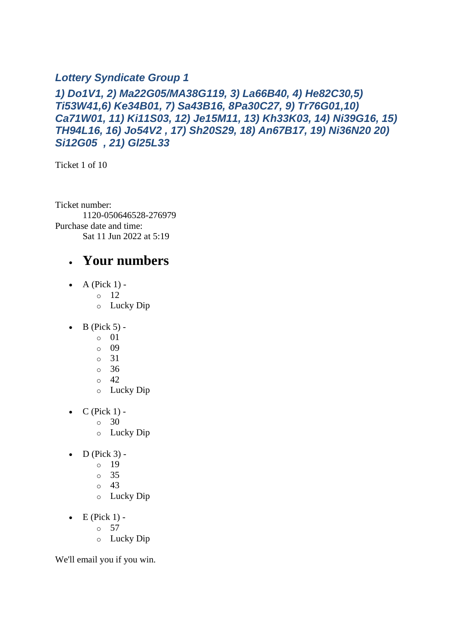#### *Lottery Syndicate Group 1*

#### *1) Do1V1, 2) Ma22G05/MA38G119, 3) La66B40, 4) He82C30,5) Ti53W41,6) Ke34B01, 7) Sa43B16, 8Pa30C27, 9) Tr76G01,10) Ca71W01, 11) Ki11S03, 12) Je15M11, 13) Kh33K03, 14) Ni39G16, 15) TH94L16, 16) Jo54V2 , 17) Sh20S29, 18) An67B17, 19) Ni36N20 20) Si12G05 , 21) Gl25L33*

Ticket 1 of 10

Ticket number: 1120-050646528-276979 Purchase date and time: Sat 11 Jun 2022 at 5:19

#### • **Your numbers**

- $\bullet$  A (Pick 1)
	- o 12
	- o Lucky Dip
- $\bullet$  B (Pick 5)
	- o 01
	- o 09
	- o 31
	- o 36
	- $\circ$  42
	- o Lucky Dip
- $\bullet$  C (Pick 1) -
	- $\circ$  30
	- o Lucky Dip
- $D$  (Pick 3)
	- o 19
		- o 35
		- o 43
		- o Lucky Dip
- $\bullet$  E (Pick 1) -
	- $\circ$  57
	- o Lucky Dip

We'll email you if you win.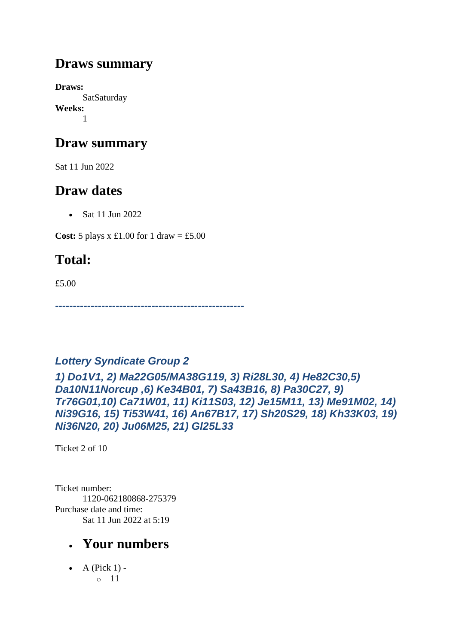#### **Draws summary**

**Draws: SatSaturday Weeks:** 1

## **Draw summary**

Sat 11 Jun 2022

## **Draw dates**

• Sat 11 Jun 2022

**Cost:** 5 plays x £1.00 for 1 draw = £5.00

## **Total:**

£5.00

*-----------------------------------------------------*

#### *Lottery Syndicate Group 2*

*1) Do1V1, 2) Ma22G05/MA38G119, 3) Ri28L30, 4) He82C30,5) Da10N11Norcup ,6) Ke34B01, 7) Sa43B16, 8) Pa30C27, 9) Tr76G01,10) Ca71W01, 11) Ki11S03, 12) Je15M11, 13) Me91M02, 14) Ni39G16, 15) Ti53W41, 16) An67B17, 17) Sh20S29, 18) Kh33K03, 19) Ni36N20, 20) Ju06M25, 21) Gl25L33*

Ticket 2 of 10

Ticket number: 1120-062180868-275379 Purchase date and time: Sat 11 Jun 2022 at 5:19

## • **Your numbers**

 $\bullet$  A (Pick 1) o 11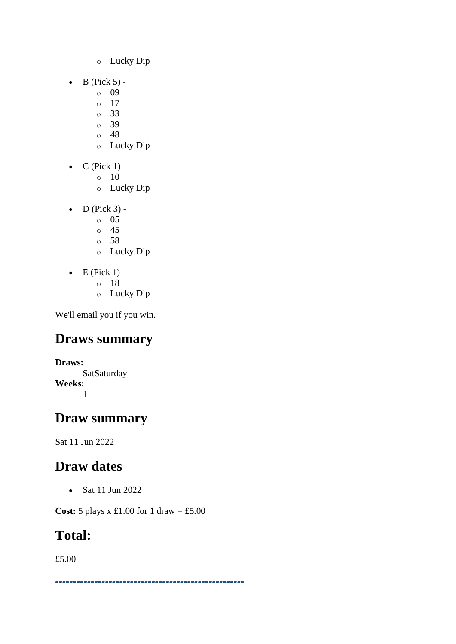- o Lucky Dip
- $\bullet$  B (Pick 5)
	- o 09
	- o 17
	- o 33
	- o 39 o 48
	- o Lucky Dip
- $\bullet$  C (Pick 1) -
	- $\circ$  10
	- o Lucky Dip
- $\bullet$  D (Pick 3)
	- o 05
	- o 45
	- o 58
	- o Lucky Dip
- $\bullet$  E (Pick 1)
	- o 18
	- o Lucky Dip

## **Draws summary**

**Draws: SatSaturday Weeks:** 1

## **Draw summary**

Sat 11 Jun 2022

## **Draw dates**

• Sat 11 Jun 2022

**Cost:** 5 plays x £1.00 for 1 draw = £5.00

## **Total:**

£5.00

*-----------------------------------------------------*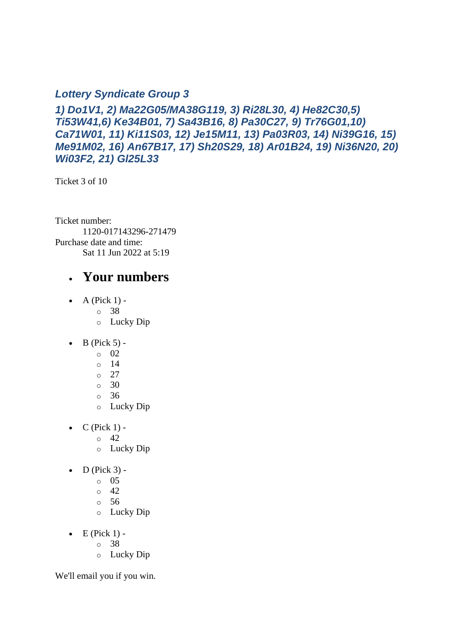#### *Lottery Syndicate Group 3*

*1) Do1V1, 2) Ma22G05/MA38G119, 3) Ri28L30, 4) He82C30,5) Ti53W41,6) Ke34B01, 7) Sa43B16, 8) Pa30C27, 9) Tr76G01,10) Ca71W01, 11) Ki11S03, 12) Je15M11, 13) Pa03R03, 14) Ni39G16, 15) Me91M02, 16) An67B17, 17) Sh20S29, 18) Ar01B24, 19) Ni36N20, 20) Wi03F2, 21) Gl25L33*

Ticket 3 of 10

Ticket number: 1120-017143296-271479 Purchase date and time: Sat 11 Jun 2022 at 5:19

#### • **Your numbers**

- $\bullet$  A (Pick 1)
	- o 38
	- o Lucky Dip
- $\bullet$  B (Pick 5)
	- o 02
	- o 14
	- o 27
	- o 30
	- o 36
	- o Lucky Dip
- $C$  (Pick 1) -
	- $\circ$  42
	- o Lucky Dip
- $\bullet$  D (Pick 3)
	- o 05
	- $\circ$  42
	- o 56
	- o Lucky Dip
- $\bullet$  E (Pick 1)
	- o 38
	- o Lucky Dip

We'll email you if you win.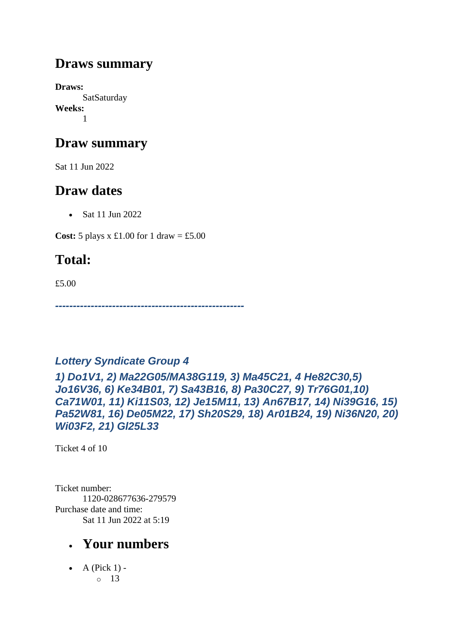#### **Draws summary**

**Draws: SatSaturday Weeks:** 1

### **Draw summary**

Sat 11 Jun 2022

## **Draw dates**

• Sat 11 Jun 2022

**Cost:** 5 plays x £1.00 for 1 draw = £5.00

## **Total:**

£5.00

*-----------------------------------------------------*

#### *Lottery Syndicate Group 4*

*1) Do1V1, 2) Ma22G05/MA38G119, 3) Ma45C21, 4 He82C30,5) Jo16V36, 6) Ke34B01, 7) Sa43B16, 8) Pa30C27, 9) Tr76G01,10) Ca71W01, 11) Ki11S03, 12) Je15M11, 13) An67B17, 14) Ni39G16, 15) Pa52W81, 16) De05M22, 17) Sh20S29, 18) Ar01B24, 19) Ni36N20, 20) Wi03F2, 21) Gl25L33*

Ticket 4 of 10

Ticket number: 1120-028677636-279579 Purchase date and time: Sat 11 Jun 2022 at 5:19

## • **Your numbers**

 $\bullet$  A (Pick 1) o 13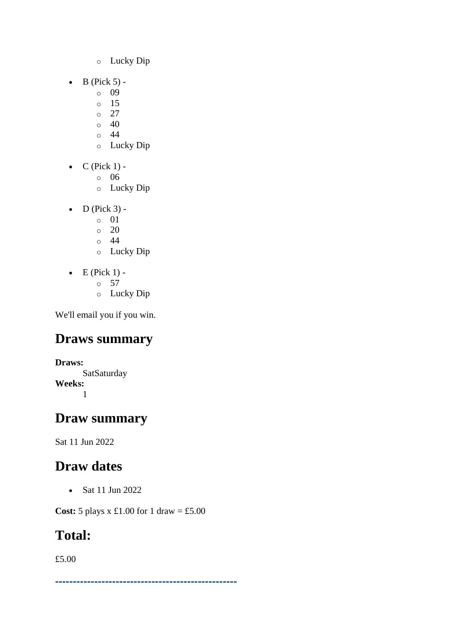- o Lucky Dip
- $\bullet$  B (Pick 5)
	- o 09
	- o 15
	- $\circ$  27
	- $\circ$  40  $\circ$  44
	- o Lucky Dip
- $\bullet$  C (Pick 1)
	- o 06
	- o Lucky Dip
- $\bullet$  D (Pick 3)
	- o 01
	- $\circ$  20
	- o 44
	- o Lucky Dip
- $\bullet$  E (Pick 1)
	- o 57
	- o Lucky Dip

## **Draws summary**

**Draws: SatSaturday Weeks:** 1

## **Draw summary**

Sat 11 Jun 2022

## **Draw dates**

• Sat 11 Jun 2022

**Cost:** 5 plays x £1.00 for 1 draw = £5.00

## **Total:**

£5.00

*---------------------------------------------------*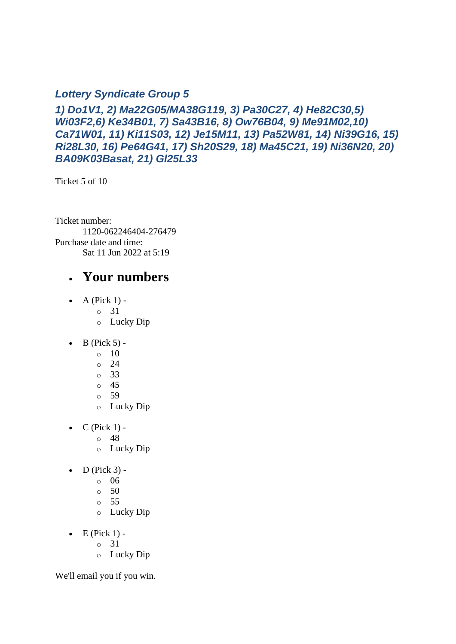#### *Lottery Syndicate Group 5*

*1) Do1V1, 2) Ma22G05/MA38G119, 3) Pa30C27, 4) He82C30,5) Wi03F2,6) Ke34B01, 7) Sa43B16, 8) Ow76B04, 9) Me91M02,10) Ca71W01, 11) Ki11S03, 12) Je15M11, 13) Pa52W81, 14) Ni39G16, 15) Ri28L30, 16) Pe64G41, 17) Sh20S29, 18) Ma45C21, 19) Ni36N20, 20) BA09K03Basat, 21) Gl25L33*

Ticket 5 of 10

Ticket number: 1120-062246404-276479 Purchase date and time: Sat 11 Jun 2022 at 5:19

#### • **Your numbers**

- $\bullet$  A (Pick 1)
	- o 31
	- o Lucky Dip
- $\bullet$  B (Pick 5) -
	- $\circ$  10
	- o 24
	- o 33
	- o 45
	- o 59
	- o Lucky Dip
- $C$  (Pick 1)
	- o 48
	- o Lucky Dip
- $\bullet$  D (Pick 3)
	- o 06
	- $\circ$  50
	- o 55
	- o Lucky Dip
- $\bullet$  E (Pick 1)
	- o 31
	- o Lucky Dip

We'll email you if you win.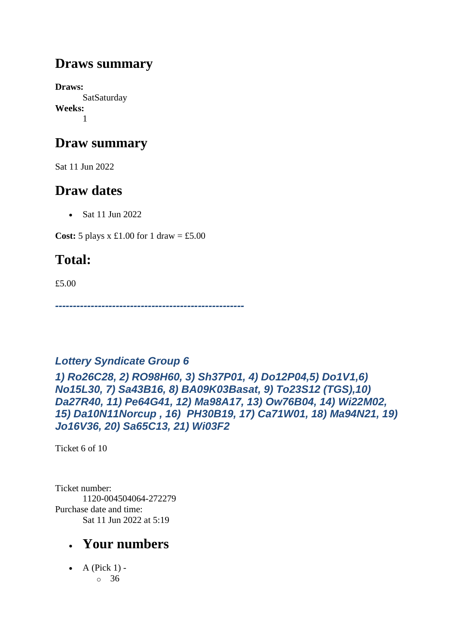#### **Draws summary**

**Draws: SatSaturday Weeks:** 1

### **Draw summary**

Sat 11 Jun 2022

## **Draw dates**

• Sat 11 Jun 2022

**Cost:** 5 plays x £1.00 for 1 draw = £5.00

## **Total:**

£5.00

*-----------------------------------------------------*

#### *Lottery Syndicate Group 6*

*1) Ro26C28, 2) RO98H60, 3) Sh37P01, 4) Do12P04,5) Do1V1,6) No15L30, 7) Sa43B16, 8) BA09K03Basat, 9) To23S12 (TGS),10) Da27R40, 11) Pe64G41, 12) Ma98A17, 13) Ow76B04, 14) Wi22M02, 15) Da10N11Norcup , 16) PH30B19, 17) Ca71W01, 18) Ma94N21, 19) Jo16V36, 20) Sa65C13, 21) Wi03F2*

Ticket 6 of 10

Ticket number: 1120-004504064-272279 Purchase date and time: Sat 11 Jun 2022 at 5:19

## • **Your numbers**

 $\bullet$  A (Pick 1) o 36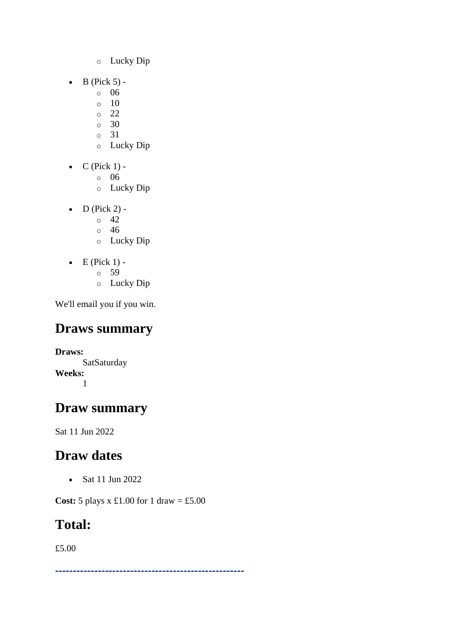- o Lucky Dip
- $\bullet$  B (Pick 5)
	- o 06
	- $\circ$  10
	- o 22
	- o 30 o 31
	- o Lucky Dip
- $\bullet$  C (Pick 1)
	- o 06
	- o Lucky Dip
- $D$  (Pick 2) -
	- $\circ$  42
	- o 46
	- o Lucky Dip
- $\bullet$  E (Pick 1)
	- o 59
	- o Lucky Dip

## **Draws summary**

**Draws: SatSaturday Weeks:** 1

## **Draw summary**

Sat 11 Jun 2022

## **Draw dates**

• Sat 11 Jun 2022

**Cost:** 5 plays x £1.00 for 1 draw = £5.00

## **Total:**

£5.00

*-----------------------------------------------------*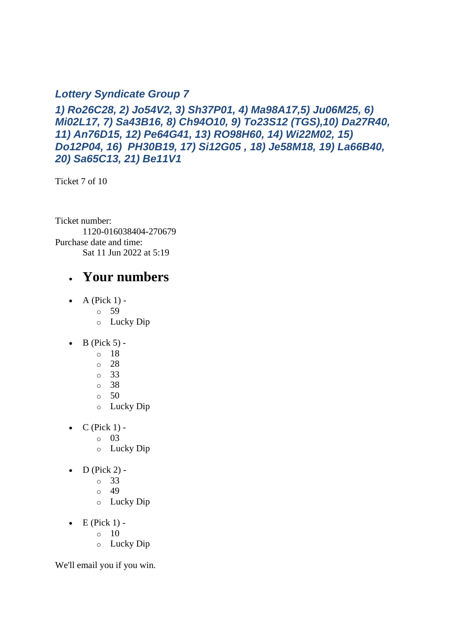#### *Lottery Syndicate Group 7*

*1) Ro26C28, 2) Jo54V2, 3) Sh37P01, 4) Ma98A17,5) Ju06M25, 6) Mi02L17, 7) Sa43B16, 8) Ch94O10, 9) To23S12 (TGS),10) Da27R40, 11) An76D15, 12) Pe64G41, 13) RO98H60, 14) Wi22M02, 15) Do12P04, 16) PH30B19, 17) Si12G05 , 18) Je58M18, 19) La66B40, 20) Sa65C13, 21) Be11V1*

Ticket 7 of 10

Ticket number: 1120-016038404-270679 Purchase date and time: Sat 11 Jun 2022 at 5:19

#### • **Your numbers**

- $\bullet$  A (Pick 1)
	- o 59
	- o Lucky Dip
- $\bullet$  B (Pick 5)
	- o 18
	- o 28
	- o 33
	- o 38
	- $\circ$  50
	- o Lucky Dip
- $C$  (Pick 1)
	- o 03
	- o Lucky Dip
- $\bullet$  D (Pick 2)
	- o 33
	- $\degree$  49
	- o Lucky Dip
- $\bullet$  E (Pick 1) -
	- $\circ$  10
	- o Lucky Dip

We'll email you if you win.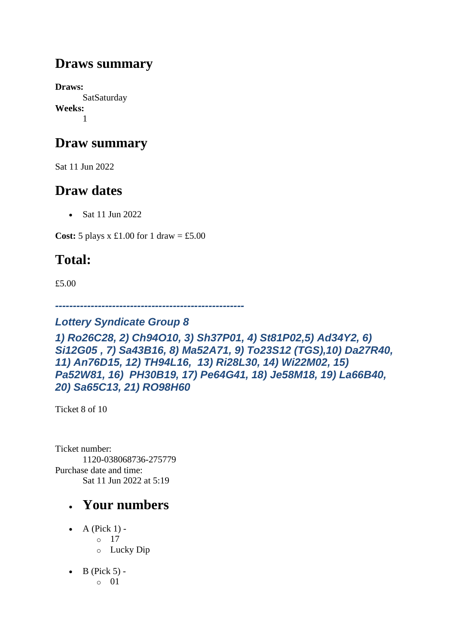#### **Draws summary**

**Draws: SatSaturday Weeks:** 1

### **Draw summary**

Sat 11 Jun 2022

## **Draw dates**

• Sat 11 Jun 2022

**Cost:** 5 plays x £1.00 for 1 draw = £5.00

## **Total:**

£5.00

*-----------------------------------------------------*

#### *Lottery Syndicate Group 8*

*1) Ro26C28, 2) Ch94O10, 3) Sh37P01, 4) St81P02,5) Ad34Y2, 6) Si12G05 , 7) Sa43B16, 8) Ma52A71, 9) To23S12 (TGS),10) Da27R40, 11) An76D15, 12) TH94L16, 13) Ri28L30, 14) Wi22M02, 15) Pa52W81, 16) PH30B19, 17) Pe64G41, 18) Je58M18, 19) La66B40, 20) Sa65C13, 21) RO98H60*

Ticket 8 of 10

Ticket number: 1120-038068736-275779 Purchase date and time: Sat 11 Jun 2022 at 5:19

- A (Pick  $1$ )
	- o 17
	- o Lucky Dip
- $\bullet$  B (Pick 5)
	- o 01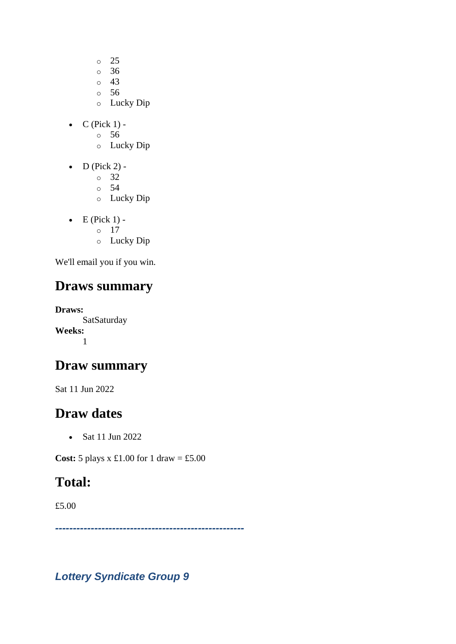- $\circ$  25
- o 36
- o 43
- $\circ$  56
- o Lucky Dip
- $C$  (Pick 1)
	- o 56
	- o Lucky Dip
- $\bullet$  D (Pick 2)
	- o 32
	- o 54
	- o Lucky Dip
- $\bullet$  E (Pick 1) - $\circ$  17 o Lucky Dip

## **Draws summary**

**Draws: SatSaturday Weeks:** 1

## **Draw summary**

Sat 11 Jun 2022

## **Draw dates**

• Sat 11 Jun 2022

**Cost:** 5 plays x £1.00 for 1 draw = £5.00

## **Total:**

£5.00

*-----------------------------------------------------*

*Lottery Syndicate Group 9*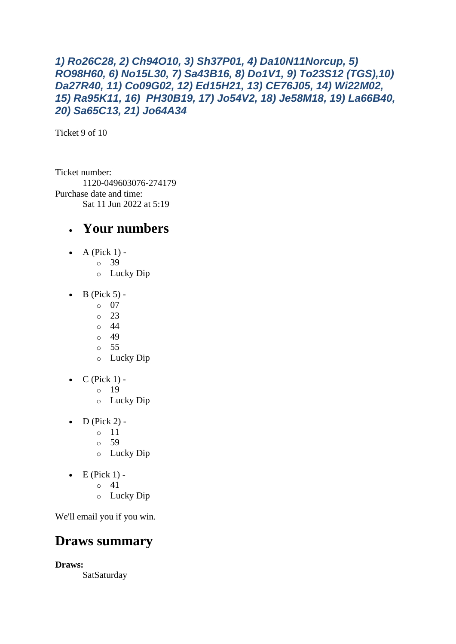#### *1) Ro26C28, 2) Ch94O10, 3) Sh37P01, 4) Da10N11Norcup, 5) RO98H60, 6) No15L30, 7) Sa43B16, 8) Do1V1, 9) To23S12 (TGS),10) Da27R40, 11) Co09G02, 12) Ed15H21, 13) CE76J05, 14) Wi22M02, 15) Ra95K11, 16) PH30B19, 17) Jo54V2, 18) Je58M18, 19) La66B40, 20) Sa65C13, 21) Jo64A34*

Ticket 9 of 10

Ticket number: 1120-049603076-274179 Purchase date and time: Sat 11 Jun 2022 at 5:19

#### • **Your numbers**

- A (Pick  $1$ )
	- o 39
		- o Lucky Dip
- $\bullet$  B (Pick 5) -
	- $\circ$  07
		- $\degree$  23
		- o 44
		- o 49
		- o 55
		- o Lucky Dip
- $\bullet$  C (Pick 1)
	- o 19
	- o Lucky Dip
- $D$  (Pick 2) -
	- $\circ$  11
	- o 59
	- o Lucky Dip
- $\bullet$  E (Pick 1) -
	- $\circ$  41
	- o Lucky Dip

We'll email you if you win.

#### **Draws summary**

**Draws:**

SatSaturday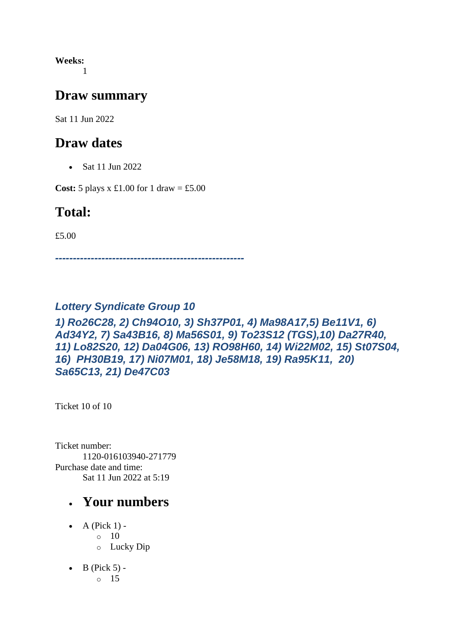**Weeks:** 1

#### **Draw summary**

Sat 11 Jun 2022

#### **Draw dates**

• Sat 11 Jun 2022

**Cost:** 5 plays x £1.00 for 1 draw = £5.00

#### **Total:**

£5.00

*-----------------------------------------------------*

#### *Lottery Syndicate Group 10*

#### *1) Ro26C28, 2) Ch94O10, 3) Sh37P01, 4) Ma98A17,5) Be11V1, 6) Ad34Y2, 7) Sa43B16, 8) Ma56S01, 9) To23S12 (TGS),10) Da27R40, 11) Lo82S20, 12) Da04G06, 13) RO98H60, 14) Wi22M02, 15) St07S04, 16) PH30B19, 17) Ni07M01, 18) Je58M18, 19) Ra95K11, 20) Sa65C13, 21) De47C03*

Ticket 10 of 10

Ticket number: 1120-016103940-271779 Purchase date and time: Sat 11 Jun 2022 at 5:19

- A (Pick  $1$ ) - $\circ$  10 o Lucky Dip
- $\bullet$  B (Pick 5) o 15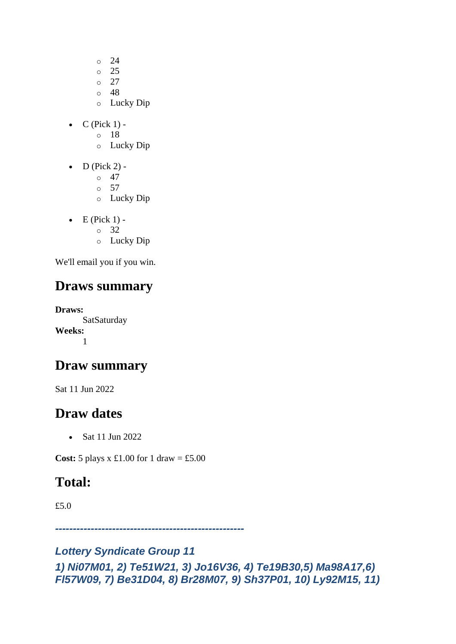- o 24
- o 25
- $\circ$  27
- $\circ$  48
- o Lucky Dip
- $\bullet$  C (Pick 1)
	- o 18
	- o Lucky Dip
- $D$  (Pick 2) -
	- $\circ$  47
	- o 57
	- o Lucky Dip
- $\bullet$  E (Pick 1) - $\circ$  32
	- o Lucky Dip

## **Draws summary**

**Draws: SatSaturday Weeks:** 1

## **Draw summary**

Sat 11 Jun 2022

## **Draw dates**

• Sat 11 Jun 2022

**Cost:**  $5$  plays x  $\pounds1.00$  for  $1$  draw =  $\pounds5.00$ 

## **Total:**

£5.0

*-----------------------------------------------------*

#### *Lottery Syndicate Group 11 1) Ni07M01, 2) Te51W21, 3) Jo16V36, 4) Te19B30,5) Ma98A17,6) Fl57W09, 7) Be31D04, 8) Br28M07, 9) Sh37P01, 10) Ly92M15, 11)*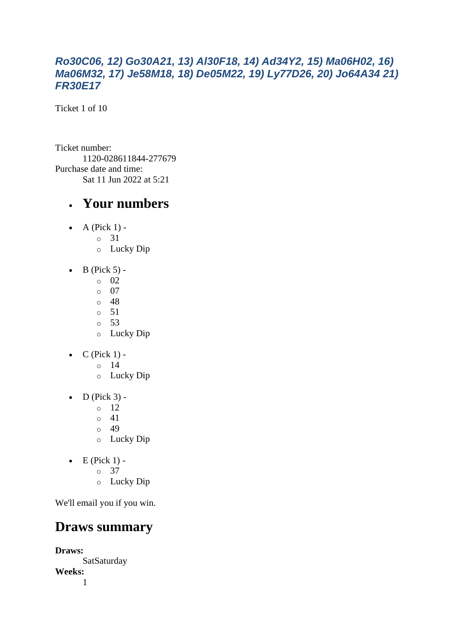#### *Ro30C06, 12) Go30A21, 13) Al30F18, 14) Ad34Y2, 15) Ma06H02, 16) Ma06M32, 17) Je58M18, 18) De05M22, 19) Ly77D26, 20) Jo64A34 21) FR30E17*

Ticket 1 of 10

Ticket number: 1120-028611844-277679 Purchase date and time: Sat 11 Jun 2022 at 5:21

#### • **Your numbers**

- A (Pick  $1$ )
	- o 31
	- o Lucky Dip
- $\bullet$  B (Pick 5)
	- o 02
	- $\circ$  07
	- o 48
	- o 51 o 53
	- o Lucky Dip
- $C$  (Pick 1)
	- o 14
	- o Lucky Dip
- $\bullet$  D (Pick 3) -
	- $\circ$  12
	- o 41
	- o 49
	- o Lucky Dip
- $\bullet$  E (Pick 1)
	- o 37
	- o Lucky Dip

We'll email you if you win.

## **Draws summary**

**Draws: SatSaturday Weeks:** 1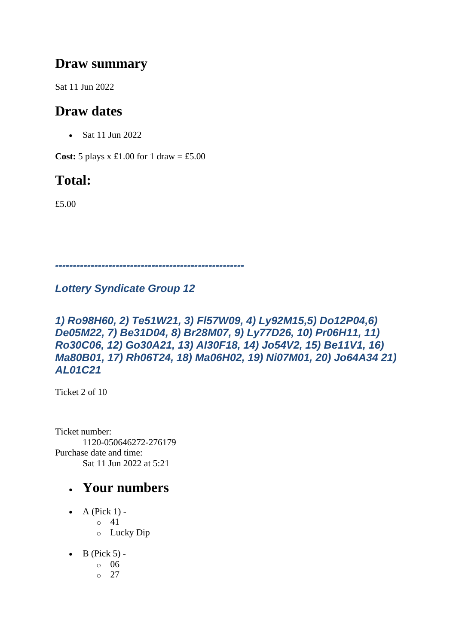#### **Draw summary**

Sat 11 Jun 2022

## **Draw dates**

• Sat 11 Jun 2022

**Cost:**  $5$  plays x £1.00 for 1 draw = £5.00

## **Total:**

£5.00

*-----------------------------------------------------*

#### *Lottery Syndicate Group 12*

#### *1) Ro98H60, 2) Te51W21, 3) Fl57W09, 4) Ly92M15,5) Do12P04,6) De05M22, 7) Be31D04, 8) Br28M07, 9) Ly77D26, 10) Pr06H11, 11) Ro30C06, 12) Go30A21, 13) Al30F18, 14) Jo54V2, 15) Be11V1, 16) Ma80B01, 17) Rh06T24, 18) Ma06H02, 19) Ni07M01, 20) Jo64A34 21) AL01C21*

Ticket 2 of 10

Ticket number: 1120-050646272-276179 Purchase date and time: Sat 11 Jun 2022 at 5:21

- A (Pick  $1$ ) -
	- $\circ$  41
	- o Lucky Dip
- $\bullet$  B (Pick 5)
	- o 06
	- $\circ$  27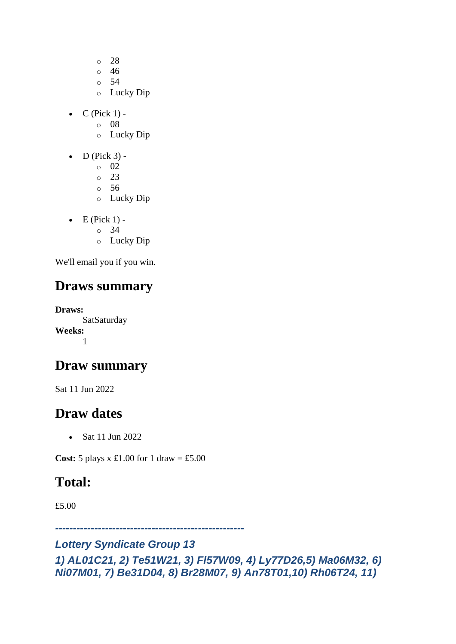- o 28
- o 46
- o 54
- o Lucky Dip
- $\bullet$  C (Pick 1)
	- o 08
	- o Lucky Dip
- $\bullet$  D (Pick 3)
	- o 02
	- o 23
	- o 56
	- o Lucky Dip
- $\bullet$  E (Pick 1) -
	- $\circ$  34
	- o Lucky Dip

#### **Draws summary**

**Draws: SatSaturday Weeks:** 1

#### **Draw summary**

Sat 11 Jun 2022

#### **Draw dates**

• Sat 11 Jun 2022

**Cost:**  $5$  plays x  $\pounds1.00$  for  $1$  draw =  $\pounds5.00$ 

## **Total:**

£5.00

*-----------------------------------------------------*

#### *Lottery Syndicate Group 13*

*1) AL01C21, 2) Te51W21, 3) Fl57W09, 4) Ly77D26,5) Ma06M32, 6) Ni07M01, 7) Be31D04, 8) Br28M07, 9) An78T01,10) Rh06T24, 11)*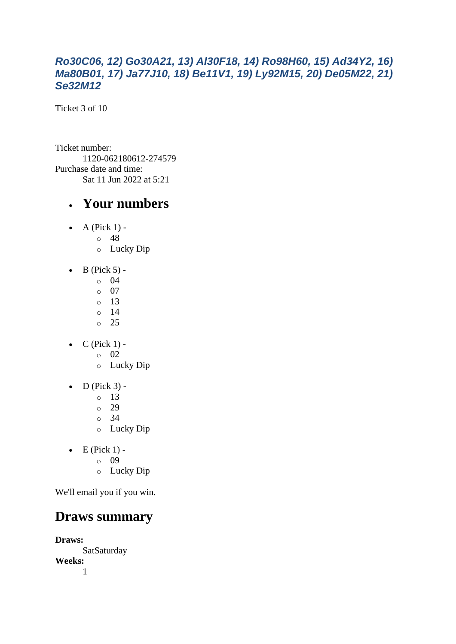#### *Ro30C06, 12) Go30A21, 13) Al30F18, 14) Ro98H60, 15) Ad34Y2, 16) Ma80B01, 17) Ja77J10, 18) Be11V1, 19) Ly92M15, 20) De05M22, 21) Se32M12*

Ticket 3 of 10

Ticket number: 1120-062180612-274579 Purchase date and time: Sat 11 Jun 2022 at 5:21

#### • **Your numbers**

- A (Pick  $1$ )
	- o 48
	- o Lucky Dip
- $\bullet$  B (Pick 5)
	- o 04
	- $\circ$  07
	- o 13
	- o 14
	- o 25
- $\bullet$  C (Pick 1)
	- o 02
	- o Lucky Dip
- $\bullet$  D (Pick 3) -
	- $\circ$  13
	- $\degree$  29
	- o 34
	- o Lucky Dip
- $\bullet$  E (Pick 1)
	- o 09
	- o Lucky Dip

We'll email you if you win.

#### **Draws summary**

**Draws: SatSaturday Weeks:** 1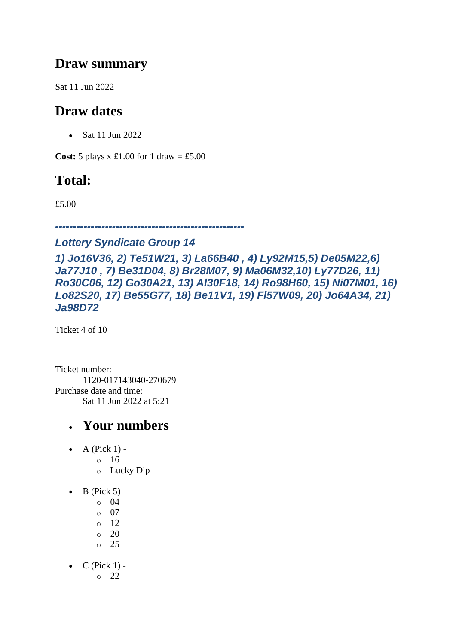#### **Draw summary**

Sat 11 Jun 2022

## **Draw dates**

• Sat 11 Jun 2022

**Cost:**  $5$  plays x £1.00 for 1 draw = £5.00

## **Total:**

£5.00

*-----------------------------------------------------*

#### *Lottery Syndicate Group 14*

*1) Jo16V36, 2) Te51W21, 3) La66B40 , 4) Ly92M15,5) De05M22,6) Ja77J10 , 7) Be31D04, 8) Br28M07, 9) Ma06M32,10) Ly77D26, 11) Ro30C06, 12) Go30A21, 13) Al30F18, 14) Ro98H60, 15) Ni07M01, 16) Lo82S20, 17) Be55G77, 18) Be11V1, 19) Fl57W09, 20) Jo64A34, 21) Ja98D72*

Ticket 4 of 10

Ticket number: 1120-017143040-270679 Purchase date and time: Sat 11 Jun 2022 at 5:21

## • **Your numbers**

- A (Pick  $1$ )
	- o 16
	- o Lucky Dip
- $\bullet$  B (Pick 5) -
	- $\circ$  04
	- o 07
	- o 12
	- o 20
	- o 25
- $\bullet$  C (Pick 1) -

o 22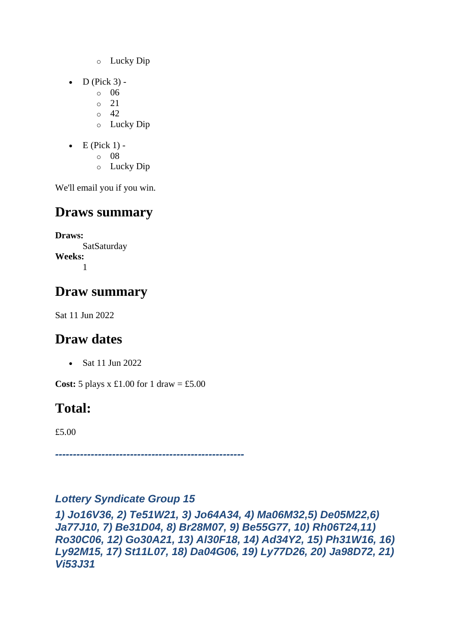- o Lucky Dip
- $\bullet$  D (Pick 3)
	- o 06
	- o 21
	- $\circ$  42
	- o Lucky Dip
- $\bullet$  E (Pick 1)
	- o 08
		- o Lucky Dip

## **Draws summary**

**Draws: SatSaturday Weeks:** 1

## **Draw summary**

Sat 11 Jun 2022

## **Draw dates**

• Sat 11 Jun 2022

**Cost:** 5 plays x £1.00 for 1 draw = £5.00

## **Total:**

£5.00

*-----------------------------------------------------*

#### *Lottery Syndicate Group 15*

*1) Jo16V36, 2) Te51W21, 3) Jo64A34, 4) Ma06M32,5) De05M22,6) Ja77J10, 7) Be31D04, 8) Br28M07, 9) Be55G77, 10) Rh06T24,11) Ro30C06, 12) Go30A21, 13) Al30F18, 14) Ad34Y2, 15) Ph31W16, 16) Ly92M15, 17) St11L07, 18) Da04G06, 19) Ly77D26, 20) Ja98D72, 21) Vi53J31*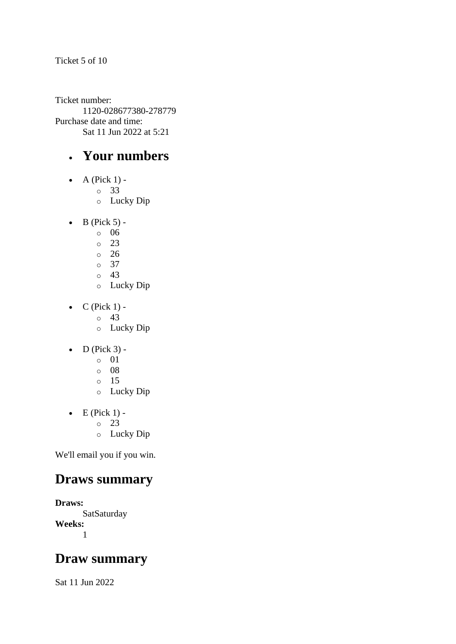Ticket number: 1120-028677380-278779 Purchase date and time: Sat 11 Jun 2022 at 5:21

#### • **Your numbers**

- A (Pick  $1$ )
	- o 33
	- o Lucky Dip
- $\bullet$  B (Pick 5)
	- o 06
	- $\circ$  23
	- o 26
	- $\circ$  37
	- o 43
	- o Lucky Dip
- $\bullet$  C (Pick 1) -
	- $\circ$  43
	- o Lucky Dip
- $\bullet$  D (Pick 3)
	- o 01
	- o 08
	- o 15
	- o Lucky Dip
- $\bullet$  E (Pick 1) -
	- $\circ$  23
	- o Lucky Dip

We'll email you if you win.

#### **Draws summary**

**Draws: SatSaturday Weeks:** 1

#### **Draw summary**

Sat 11 Jun 2022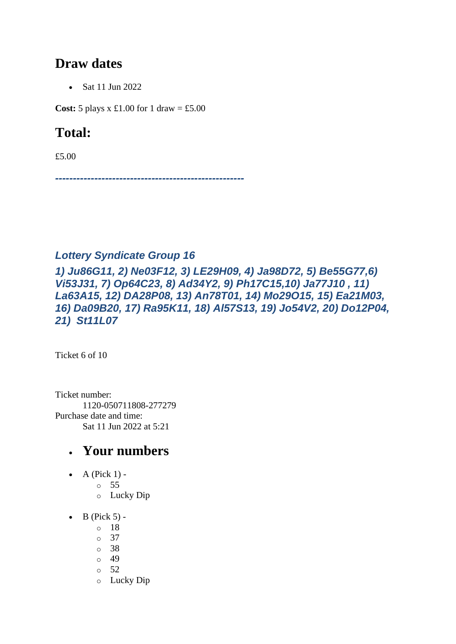#### **Draw dates**

• Sat 11 Jun 2022

**Cost:** 5 plays x £1.00 for 1 draw = £5.00

## **Total:**

£5.00

*-----------------------------------------------------*

#### *Lottery Syndicate Group 16*

*1) Ju86G11, 2) Ne03F12, 3) LE29H09, 4) Ja98D72, 5) Be55G77,6) Vi53J31, 7) Op64C23, 8) Ad34Y2, 9) Ph17C15,10) Ja77J10 , 11) La63A15, 12) DA28P08, 13) An78T01, 14) Mo29O15, 15) Ea21M03, 16) Da09B20, 17) Ra95K11, 18) Al57S13, 19) Jo54V2, 20) Do12P04, 21) St11L07*

Ticket 6 of 10

Ticket number: 1120-050711808-277279 Purchase date and time: Sat 11 Jun 2022 at 5:21

- $\bullet$  A (Pick 1)
	- o 55
	- o Lucky Dip
- $\bullet$  B (Pick 5)
	- o 18
	- o 37
	- o 38
	- o 49
	- o 52
	- o Lucky Dip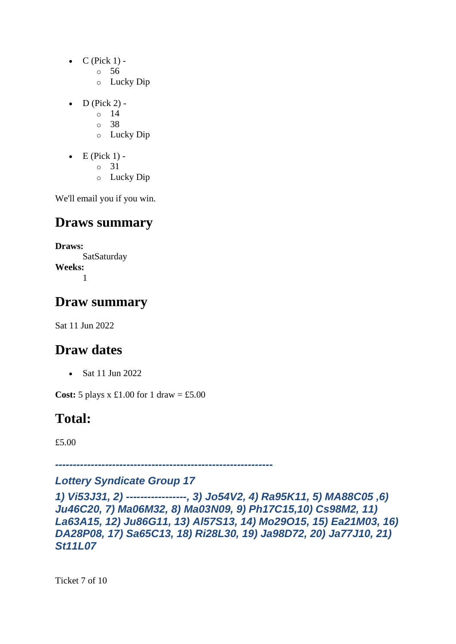- $\bullet$  C (Pick 1)
	- o 56
	- o Lucky Dip
- $D$  (Pick 2)
	- o 14
	- o 38
	- o Lucky Dip
- $\bullet$  E (Pick 1)
	- o 31
	- o Lucky Dip

#### **Draws summary**

**Draws:** SatSaturday **Weeks:** 1

#### **Draw summary**

Sat 11 Jun 2022

## **Draw dates**

• Sat 11 Jun 2022

**Cost:** 5 plays x £1.00 for 1 draw = £5.00

## **Total:**

£5.00

*-------------------------------------------------------------*

#### *Lottery Syndicate Group 17*

*1) Vi53J31, 2) -----------------, 3) Jo54V2, 4) Ra95K11, 5) MA88C05 ,6) Ju46C20, 7) Ma06M32, 8) Ma03N09, 9) Ph17C15,10) Cs98M2, 11) La63A15, 12) Ju86G11, 13) Al57S13, 14) Mo29O15, 15) Ea21M03, 16) DA28P08, 17) Sa65C13, 18) Ri28L30, 19) Ja98D72, 20) Ja77J10, 21) St11L07*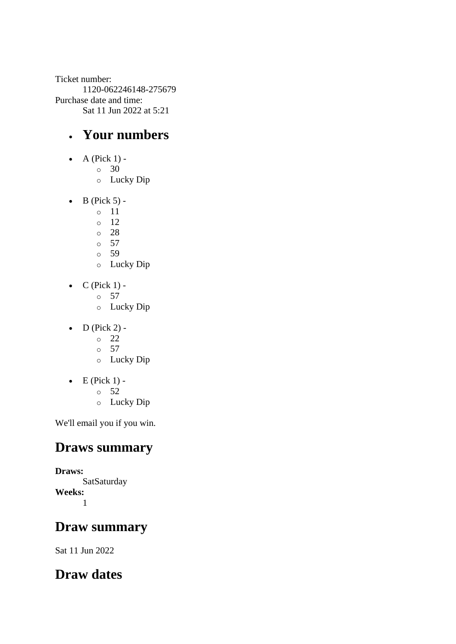Ticket number: 1120-062246148-275679 Purchase date and time: Sat 11 Jun 2022 at 5:21

#### • **Your numbers**

- $\bullet$  A (Pick 1)
	- o 30
		- o Lucky Dip
- $\bullet$  B (Pick 5)
	- o 11
	- o 12
	- o 28
	- o 57 o 59
	- o Lucky Dip
- $\bullet$  C (Pick 1) -
	- $\circ$  57
	- o Lucky Dip
- $\bullet$  D (Pick 2) -
	- $\circ$  22
	- o 57
	- o Lucky Dip
- $\bullet$  E (Pick 1)
	- o 52
	- o Lucky Dip

We'll email you if you win.

#### **Draws summary**

**Draws: SatSaturday Weeks:** 1

#### **Draw summary**

Sat 11 Jun 2022

## **Draw dates**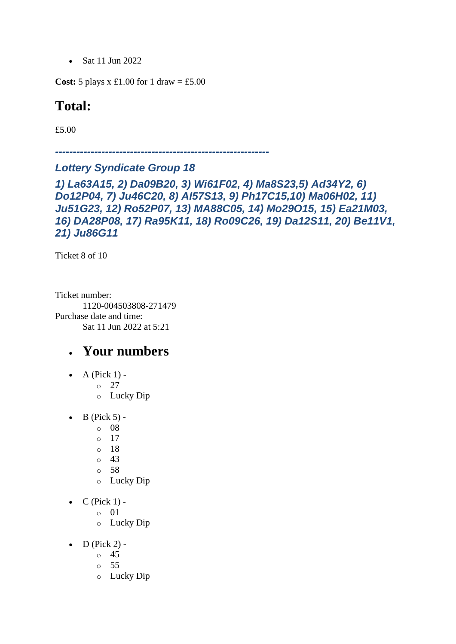• Sat 11 Jun 2022

**Cost:** 5 plays x £1.00 for 1 draw = £5.00

#### **Total:**

£5.00

*------------------------------------------------------------*

*Lottery Syndicate Group 18* 

*1) La63A15, 2) Da09B20, 3) Wi61F02, 4) Ma8S23,5) Ad34Y2, 6) Do12P04, 7) Ju46C20, 8) Al57S13, 9) Ph17C15,10) Ma06H02, 11) Ju51G23, 12) Ro52P07, 13) MA88C05, 14) Mo29O15, 15) Ea21M03, 16) DA28P08, 17) Ra95K11, 18) Ro09C26, 19) Da12S11, 20) Be11V1, 21) Ju86G11*

Ticket 8 of 10

Ticket number: 1120-004503808-271479 Purchase date and time: Sat 11 Jun 2022 at 5:21

- $\bullet$  A (Pick 1) -
	- $\circ$  27
		- o Lucky Dip
- $\bullet$  B (Pick 5)
	- o 08
	- o 17
	- o 18
	- o 43
	- o 58
	- o Lucky Dip
- $C$  (Pick 1)
	- o 01
	- o Lucky Dip
- $\bullet$  D (Pick 2)
	- o 45
	- o 55
	- o Lucky Dip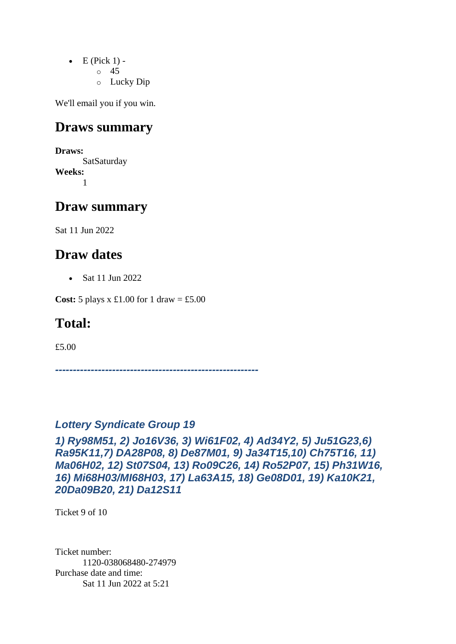- $\bullet$  E (Pick 1)
	- o 45
	- o Lucky Dip

#### **Draws summary**

**Draws:** SatSaturday **Weeks:** 1

#### **Draw summary**

Sat 11 Jun 2022

#### **Draw dates**

• Sat 11 Jun 2022

**Cost:** 5 plays x £1.00 for 1 draw = £5.00

#### **Total:**

£5.00

*---------------------------------------------------------*

#### *Lottery Syndicate Group 19*

*1) Ry98M51, 2) Jo16V36, 3) Wi61F02, 4) Ad34Y2, 5) Ju51G23,6) Ra95K11,7) DA28P08, 8) De87M01, 9) Ja34T15,10) Ch75T16, 11) Ma06H02, 12) St07S04, 13) Ro09C26, 14) Ro52P07, 15) Ph31W16, 16) Mi68H03/MI68H03, 17) La63A15, 18) Ge08D01, 19) Ka10K21, 20Da09B20, 21) Da12S11*

Ticket 9 of 10

Ticket number: 1120-038068480-274979 Purchase date and time: Sat 11 Jun 2022 at 5:21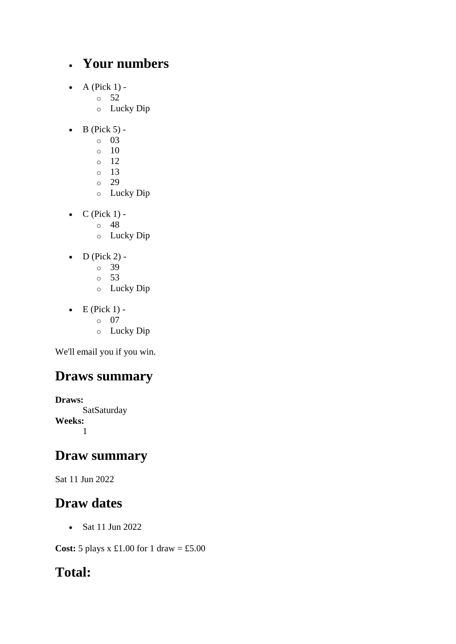#### • **Your numbers**

- $\bullet$  A (Pick 1)
	- o 52
	- o Lucky Dip
- $\bullet$  B (Pick 5)
	- o 03
	- $\circ$  10
	- o 12
	- o 13
	- o 29
	- o Lucky Dip
- $\bullet$  C (Pick 1)
	- o 48
	- o Lucky Dip
- $\bullet$  D (Pick 2)
	- o 39
	- o 53
	- o Lucky Dip
- $\bullet$  E (Pick 1)
	- o 07
	- o Lucky Dip

We'll email you if you win.

## **Draws summary**

**Draws: SatSaturday Weeks:** 1

#### **Draw summary**

Sat 11 Jun 2022

#### **Draw dates**

• Sat 11 Jun 2022

**Cost:** 5 plays x £1.00 for 1 draw = £5.00

## **Total:**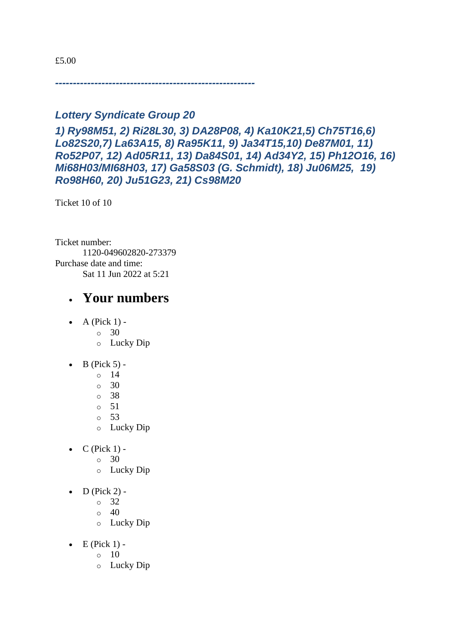£5.00

*--------------------------------------------------------*

#### *Lottery Syndicate Group 20*

*1) Ry98M51, 2) Ri28L30, 3) DA28P08, 4) Ka10K21,5) Ch75T16,6) Lo82S20,7) La63A15, 8) Ra95K11, 9) Ja34T15,10) De87M01, 11) Ro52P07, 12) Ad05R11, 13) Da84S01, 14) Ad34Y2, 15) Ph12O16, 16) Mi68H03/MI68H03, 17) Ga58S03 (G. Schmidt), 18) Ju06M25, 19) Ro98H60, 20) Ju51G23, 21) Cs98M20*

Ticket 10 of 10

Ticket number: 1120-049602820-273379 Purchase date and time: Sat 11 Jun 2022 at 5:21

- $\bullet$  A (Pick 1) -
	- $\circ$  30
	- o Lucky Dip
- $\bullet$  B (Pick 5)
	- o 14
	- $\circ$  30
	- o 38
	- o 51
	- o 53
	- o Lucky Dip
- $\bullet$  C (Pick 1) -
	- $\circ$  30
	- o Lucky Dip
- $\bullet$  D (Pick 2)
	- o 32
	- $\circ$  40
	- o Lucky Dip
- $\bullet$  E (Pick 1) -
	- $\circ$  10
	- o Lucky Dip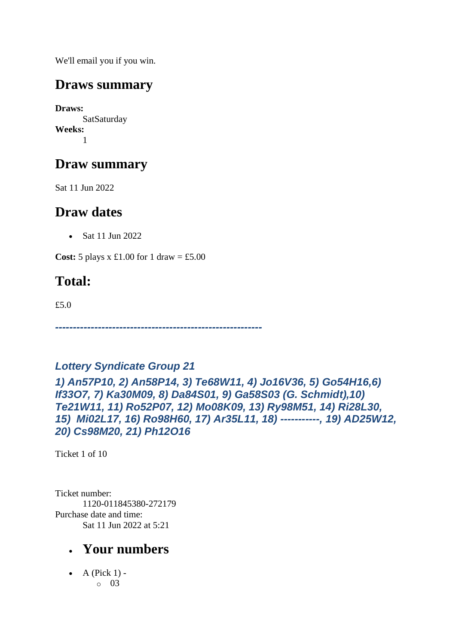#### **Draws summary**

**Draws: SatSaturday Weeks:** 1

## **Draw summary**

Sat 11 Jun 2022

## **Draw dates**

• Sat 11 Jun 2022

**Cost:** 5 plays x £1.00 for 1 draw = £5.00

## **Total:**

£5.0

*----------------------------------------------------------*

#### *Lottery Syndicate Group 21*

*1) An57P10, 2) An58P14, 3) Te68W11, 4) Jo16V36, 5) Go54H16,6) If33O7, 7) Ka30M09, 8) Da84S01, 9) Ga58S03 (G. Schmidt),10) Te21W11, 11) Ro52P07, 12) Mo08K09, 13) Ry98M51, 14) Ri28L30, 15) Mi02L17, 16) Ro98H60, 17) Ar35L11, 18) -----------, 19) AD25W12, 20) Cs98M20, 21) Ph12O16*

Ticket 1 of 10

Ticket number: 1120-011845380-272179 Purchase date and time: Sat 11 Jun 2022 at 5:21

## • **Your numbers**

• A (Pick  $1$ ) o 03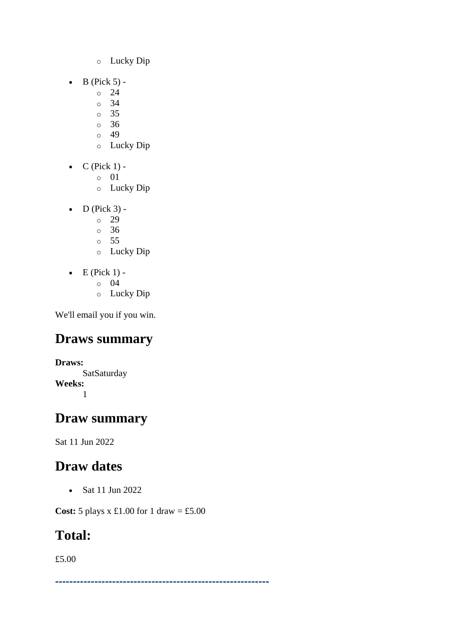- o Lucky Dip
- $\bullet$  B (Pick 5)
	- o 24
	- o 34
	- o 35
	- o 36
	- $\circ$  49
	- o Lucky Dip
- $\bullet$  C (Pick 1)
	- o 01
	- o Lucky Dip
- $\bullet$  D (Pick 3)
	- o 29
	- $\degree$  36
	- o 55
	- o Lucky Dip
- $\bullet$  E (Pick 1)
	- o 04
	- o Lucky Dip

## **Draws summary**

**Draws: SatSaturday Weeks:** 1

## **Draw summary**

Sat 11 Jun 2022

## **Draw dates**

• Sat 11 Jun 2022

**Cost:** 5 plays x £1.00 for 1 draw = £5.00

## **Total:**

£5.00

*------------------------------------------------------------*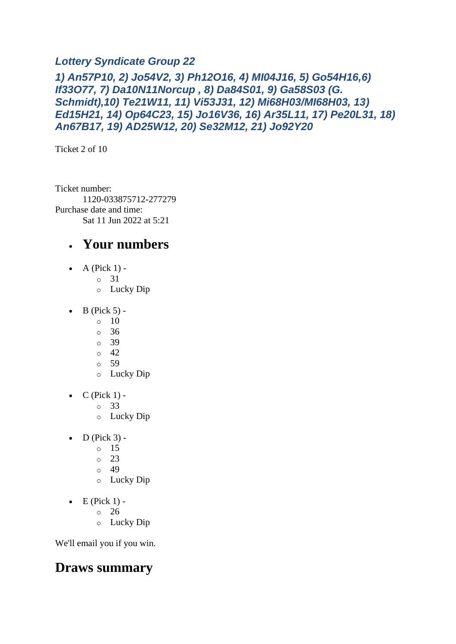#### *Lottery Syndicate Group 22*

*1) An57P10, 2) Jo54V2, 3) Ph12O16, 4) MI04J16, 5) Go54H16,6) If33O77, 7) Da10N11Norcup , 8) Da84S01, 9) Ga58S03 (G. Schmidt),10) Te21W11, 11) Vi53J31, 12) Mi68H03/MI68H03, 13) Ed15H21, 14) Op64C23, 15) Jo16V36, 16) Ar35L11, 17) Pe20L31, 18) An67B17, 19) AD25W12, 20) Se32M12, 21) Jo92Y20*

Ticket 2 of 10

Ticket number: 1120-033875712-277279 Purchase date and time: Sat 11 Jun 2022 at 5:21

#### • **Your numbers**

- A (Pick  $1$ )
	- o 31
		- o Lucky Dip
- $\bullet$  B (Pick 5) -
	- $\circ$  10
	- o 36
	- o 39
	- o 42
	- o 59
	- o Lucky Dip
- $\bullet$  C (Pick 1)
	- o 33
	- o Lucky Dip
- $\bullet$  D (Pick 3)
	- o 15
	- $\circ$  23
	- o 49
	- o Lucky Dip
- $\bullet$  E (Pick 1)
	- o 26
	- o Lucky Dip

We'll email you if you win.

#### **Draws summary**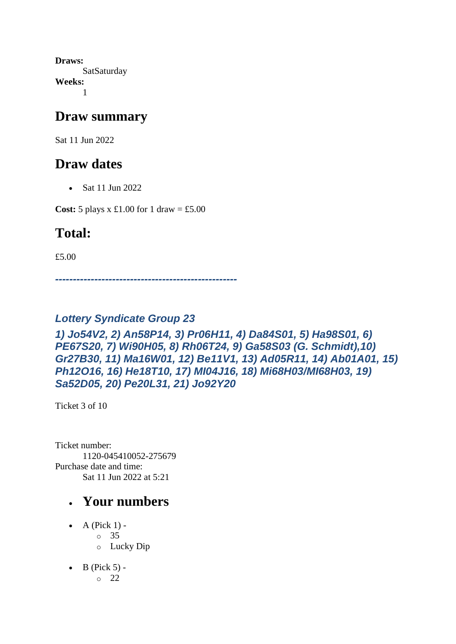**Draws: SatSaturday Weeks:** 1

#### **Draw summary**

Sat 11 Jun 2022

#### **Draw dates**

• Sat 11 Jun 2022

**Cost:** 5 plays x £1.00 for 1 draw = £5.00

## **Total:**

£5.00

*---------------------------------------------------*

#### *Lottery Syndicate Group 23*

*1) Jo54V2, 2) An58P14, 3) Pr06H11, 4) Da84S01, 5) Ha98S01, 6) PE67S20, 7) Wi90H05, 8) Rh06T24, 9) Ga58S03 (G. Schmidt),10) Gr27B30, 11) Ma16W01, 12) Be11V1, 13) Ad05R11, 14) Ab01A01, 15) Ph12O16, 16) He18T10, 17) MI04J16, 18) Mi68H03/MI68H03, 19) Sa52D05, 20) Pe20L31, 21) Jo92Y20*

Ticket 3 of 10

Ticket number: 1120-045410052-275679 Purchase date and time: Sat 11 Jun 2022 at 5:21

- $\bullet$  A (Pick 1) o 35 o Lucky Dip
- $\bullet$  B (Pick 5) - $\circ$  22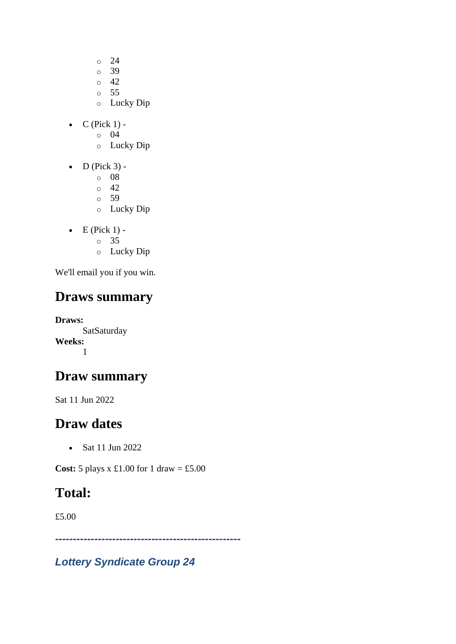- $\circ$  24
- o 39
- o 42
- $\circ$  55
- o Lucky Dip
- $C$  (Pick 1)
	- o 04
	- o Lucky Dip
- $\bullet$  D (Pick 3)
	- o 08
	- $\circ$  42
	- o 59
	- o Lucky Dip
- $\bullet$  E (Pick 1)
	- o 35
	- o Lucky Dip

## **Draws summary**

**Draws: SatSaturday Weeks:** 1

## **Draw summary**

Sat 11 Jun 2022

## **Draw dates**

• Sat 11 Jun 2022

**Cost:** 5 plays x £1.00 for 1 draw = £5.00

## **Total:**

£5.00

*----------------------------------------------------*

*Lottery Syndicate Group 24*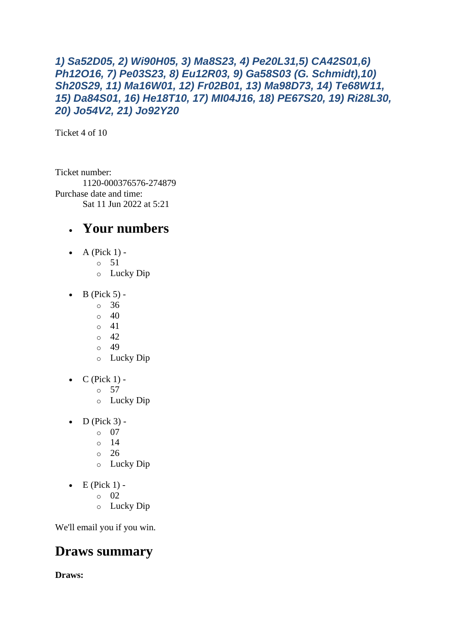#### *1) Sa52D05, 2) Wi90H05, 3) Ma8S23, 4) Pe20L31,5) CA42S01,6) Ph12O16, 7) Pe03S23, 8) Eu12R03, 9) Ga58S03 (G. Schmidt),10) Sh20S29, 11) Ma16W01, 12) Fr02B01, 13) Ma98D73, 14) Te68W11, 15) Da84S01, 16) He18T10, 17) MI04J16, 18) PE67S20, 19) Ri28L30, 20) Jo54V2, 21) Jo92Y20*

Ticket 4 of 10

Ticket number: 1120-000376576-274879 Purchase date and time: Sat 11 Jun 2022 at 5:21

#### • **Your numbers**

- A (Pick  $1$ )
	- o 51
		- o Lucky Dip
- $\bullet$  B (Pick 5) -
	- $\circ$  36
		- $\circ$  40
		- $0 \t 41$
		- $\circ$  42  $\circ$  49
		- o Lucky Dip
- $\bullet$  C (Pick 1) -
	- $\circ$  57
	- o Lucky Dip
- $\bullet$  D (Pick 3)
	- o 07
	- o 14
	- o 26
	- o Lucky Dip
- $\bullet$  E (Pick 1)
	- o 02
	- o Lucky Dip

We'll email you if you win.

#### **Draws summary**

**Draws:**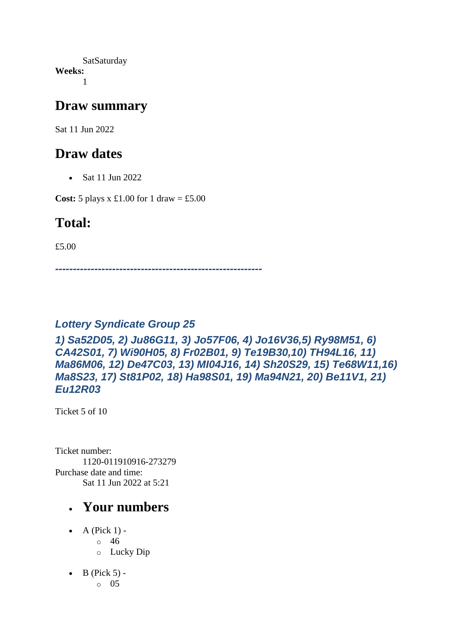SatSaturday **Weeks:** 1

#### **Draw summary**

Sat 11 Jun 2022

#### **Draw dates**

• Sat 11 Jun 2022

**Cost:**  $5$  plays x £1.00 for 1 draw = £5.00

#### **Total:**

£5.00

*----------------------------------------------------------*

#### *Lottery Syndicate Group 25*

*1) Sa52D05, 2) Ju86G11, 3) Jo57F06, 4) Jo16V36,5) Ry98M51, 6) CA42S01, 7) Wi90H05, 8) Fr02B01, 9) Te19B30,10) TH94L16, 11) Ma86M06, 12) De47C03, 13) MI04J16, 14) Sh20S29, 15) Te68W11,16) Ma8S23, 17) St81P02, 18) Ha98S01, 19) Ma94N21, 20) Be11V1, 21) Eu12R03*

Ticket 5 of 10

Ticket number: 1120-011910916-273279 Purchase date and time: Sat 11 Jun 2022 at 5:21

- $\bullet$  A (Pick 1)
	- o 46
	- o Lucky Dip
- $\bullet$  B (Pick 5) -
	- $\circ$  05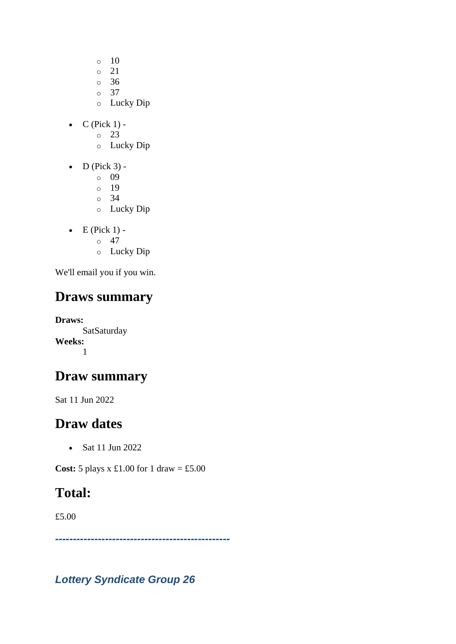- $\circ$  10
- o 21
- o 36
- $\circ$  37
- o Lucky Dip
- $C$  (Pick 1)
	- o 23
	- o Lucky Dip
- $\bullet$  D (Pick 3)
	- o 09
	- o 19
	- o 34
	- o Lucky Dip
- $\bullet$  E (Pick 1) -
	- $\circ$  47
	- o Lucky Dip

## **Draws summary**

**Draws: SatSaturday Weeks:** 1

## **Draw summary**

Sat 11 Jun 2022

## **Draw dates**

• Sat 11 Jun 2022

**Cost:**  $5$  plays x £1.00 for 1 draw = £5.00

## **Total:**

£5.00

*-------------------------------------------------*

*Lottery Syndicate Group 26*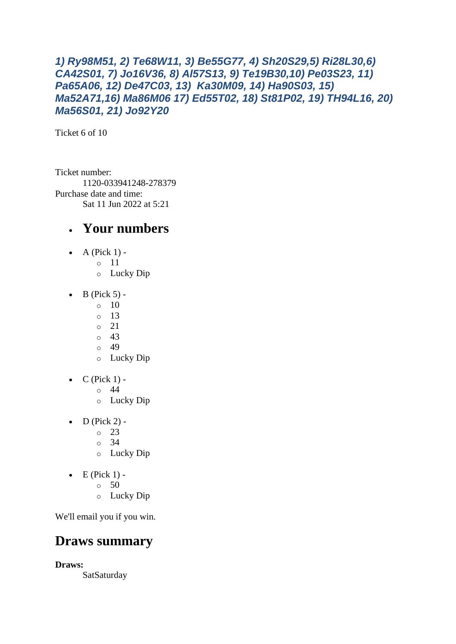#### *1) Ry98M51, 2) Te68W11, 3) Be55G77, 4) Sh20S29,5) Ri28L30,6) CA42S01, 7) Jo16V36, 8) Al57S13, 9) Te19B30,10) Pe03S23, 11) Pa65A06, 12) De47C03, 13) Ka30M09, 14) Ha90S03, 15) Ma52A71,16) Ma86M06 17) Ed55T02, 18) St81P02, 19) TH94L16, 20) Ma56S01, 21) Jo92Y20*

Ticket 6 of 10

Ticket number: 1120-033941248-278379 Purchase date and time: Sat 11 Jun 2022 at 5:21

#### • **Your numbers**

- A (Pick  $1$ )
	- o 11
		- o Lucky Dip
- $\bullet$  B (Pick 5) -
	- $\circ$  10
	- $\circ$  13
	- o 21
	- o 43
	- o 49
	- o Lucky Dip
- $\bullet$  C (Pick 1)
	- o 44
	- o Lucky Dip
- $D$  (Pick 2) -
	- $\degree$  23
	- o 34
	- o Lucky Dip
- $\bullet$  E (Pick 1) -
	- $\circ$  50
	- o Lucky Dip

We'll email you if you win.

#### **Draws summary**

**Draws:**

SatSaturday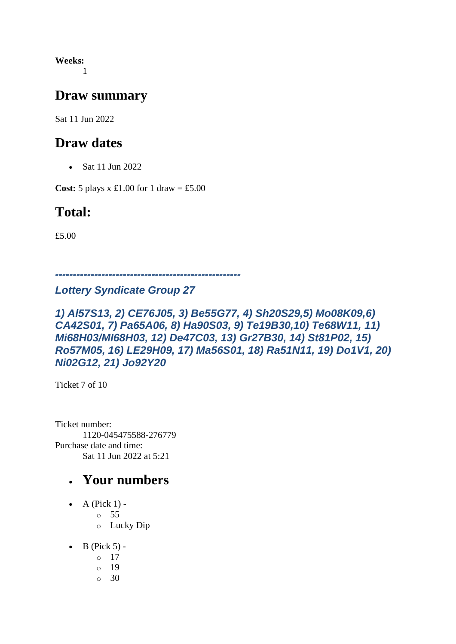**Weeks:** 1

#### **Draw summary**

Sat 11 Jun 2022

#### **Draw dates**

• Sat 11 Jun 2022

**Cost:** 5 plays x £1.00 for 1 draw = £5.00

#### **Total:**

£5.00

*----------------------------------------------------*

#### *Lottery Syndicate Group 27*

#### *1) Al57S13, 2) CE76J05, 3) Be55G77, 4) Sh20S29,5) Mo08K09,6) CA42S01, 7) Pa65A06, 8) Ha90S03, 9) Te19B30,10) Te68W11, 11) Mi68H03/MI68H03, 12) De47C03, 13) Gr27B30, 14) St81P02, 15) Ro57M05, 16) LE29H09, 17) Ma56S01, 18) Ra51N11, 19) Do1V1, 20) Ni02G12, 21) Jo92Y20*

Ticket 7 of 10

Ticket number: 1120-045475588-276779 Purchase date and time: Sat 11 Jun 2022 at 5:21

- A (Pick  $1$ ) -
	- $\circ$  55
	- o Lucky Dip
- $\bullet$  B (Pick 5) -
	- $\circ$  17
	- o 19
	- $\circ$  30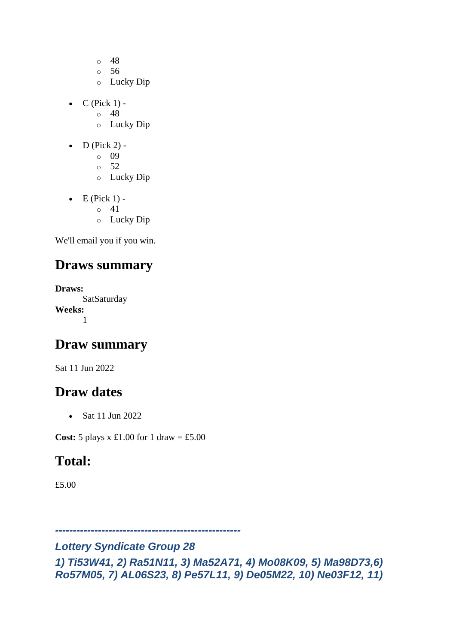- o 48
- o 56
- o Lucky Dip
- $\bullet$  C (Pick 1)
	- o 48
	- o Lucky Dip
- $\bullet$  D (Pick 2)
	- o 09
	- o 52
	- o Lucky Dip
- $\bullet$  E (Pick 1)
	- o 41
	- o Lucky Dip

#### **Draws summary**

**Draws: SatSaturday Weeks:** 1

#### **Draw summary**

Sat 11 Jun 2022

#### **Draw dates**

• Sat 11 Jun 2022

**Cost:**  $5$  plays x £1.00 for 1 draw = £5.00

#### **Total:**

£5.00

*----------------------------------------------------*

#### *Lottery Syndicate Group 28*

*1) Ti53W41, 2) Ra51N11, 3) Ma52A71, 4) Mo08K09, 5) Ma98D73,6) Ro57M05, 7) AL06S23, 8) Pe57L11, 9) De05M22, 10) Ne03F12, 11)*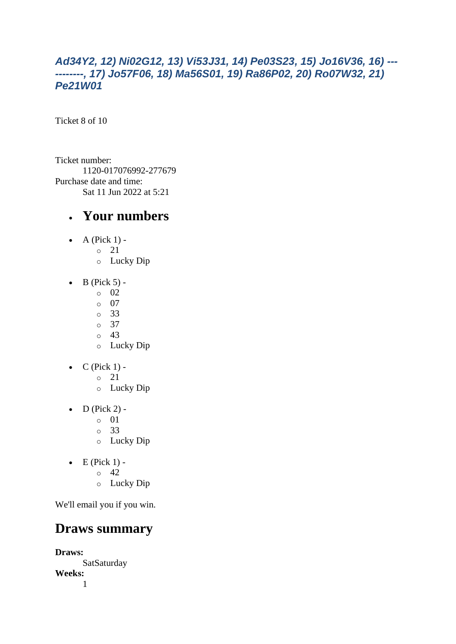#### *Ad34Y2, 12) Ni02G12, 13) Vi53J31, 14) Pe03S23, 15) Jo16V36, 16) --- --------, 17) Jo57F06, 18) Ma56S01, 19) Ra86P02, 20) Ro07W32, 21) Pe21W01*

Ticket 8 of 10

Ticket number: 1120-017076992-277679 Purchase date and time: Sat 11 Jun 2022 at 5:21

#### • **Your numbers**

- $\bullet$  A (Pick 1)
	- o 21
		- o Lucky Dip
- $\bullet$  B (Pick 5)
	- o 02
	- o 07
	- o 33
	- o 37  $\circ$  43
	- o Lucky Dip
- $\bullet$  C (Pick 1)
	- o 21
	- o Lucky Dip
- $\bullet$  D (Pick 2)
	- o 01
	- o 33
	- o Lucky Dip
- $\bullet$  E (Pick 1) -
	- $\circ$  42
	- o Lucky Dip

We'll email you if you win.

#### **Draws summary**

**Draws: SatSaturday Weeks:** 1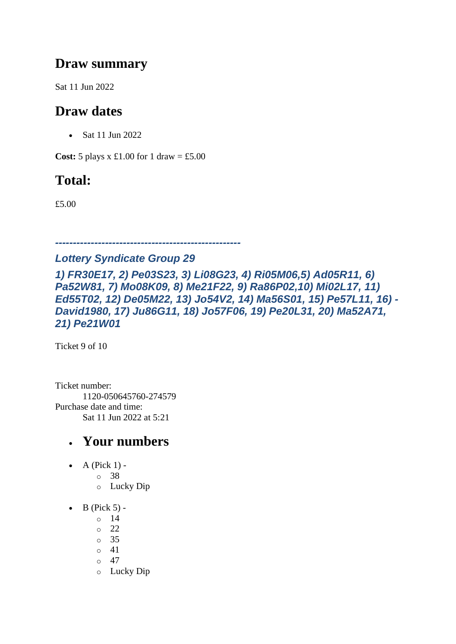#### **Draw summary**

Sat 11 Jun 2022

## **Draw dates**

• Sat 11 Jun 2022

**Cost:**  $5$  plays x £1.00 for 1 draw = £5.00

## **Total:**

£5.00

*----------------------------------------------------*

#### *Lottery Syndicate Group 29*

*1) FR30E17, 2) Pe03S23, 3) Li08G23, 4) Ri05M06,5) Ad05R11, 6) Pa52W81, 7) Mo08K09, 8) Me21F22, 9) Ra86P02,10) Mi02L17, 11) Ed55T02, 12) De05M22, 13) Jo54V2, 14) Ma56S01, 15) Pe57L11, 16) - David1980, 17) Ju86G11, 18) Jo57F06, 19) Pe20L31, 20) Ma52A71, 21) Pe21W01*

Ticket 9 of 10

Ticket number: 1120-050645760-274579 Purchase date and time: Sat 11 Jun 2022 at 5:21

- A (Pick  $1$ )
	- o 38
		- o Lucky Dip
- $\bullet$  B (Pick 5)
	- o 14
	- o 22
	- o 35
	- $\circ$  41
	- $\circ$  47
	- o Lucky Dip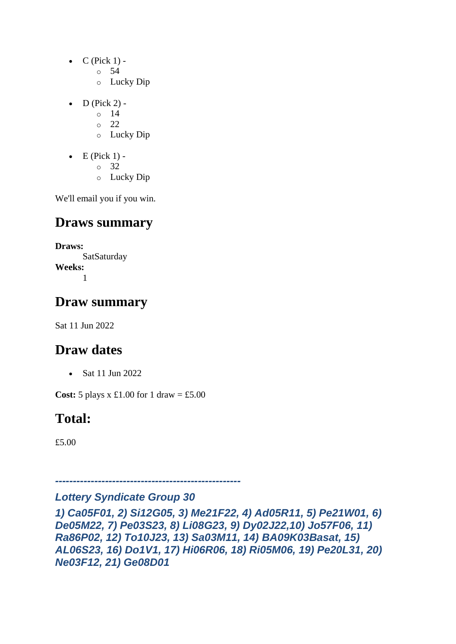- $\bullet$  C (Pick 1)
	- o 54
	- o Lucky Dip
- $D$  (Pick 2)
	- o 14
	- o 22
	- o Lucky Dip
- $\bullet$  E (Pick 1)
	- o 32
	- o Lucky Dip

## **Draws summary**

**Draws: SatSaturday Weeks:** 1

## **Draw summary**

Sat 11 Jun 2022

## **Draw dates**

• Sat 11 Jun 2022

**Cost:**  $5$  plays x £1.00 for 1 draw = £5.00

## **Total:**

£5.00

#### *---------------------------------------------------- Lottery Syndicate Group 30*

*1) Ca05F01, 2) Si12G05, 3) Me21F22, 4) Ad05R11, 5) Pe21W01, 6) De05M22, 7) Pe03S23, 8) Li08G23, 9) Dy02J22,10) Jo57F06, 11) Ra86P02, 12) To10J23, 13) Sa03M11, 14) BA09K03Basat, 15) AL06S23, 16) Do1V1, 17) Hi06R06, 18) Ri05M06, 19) Pe20L31, 20) Ne03F12, 21) Ge08D01*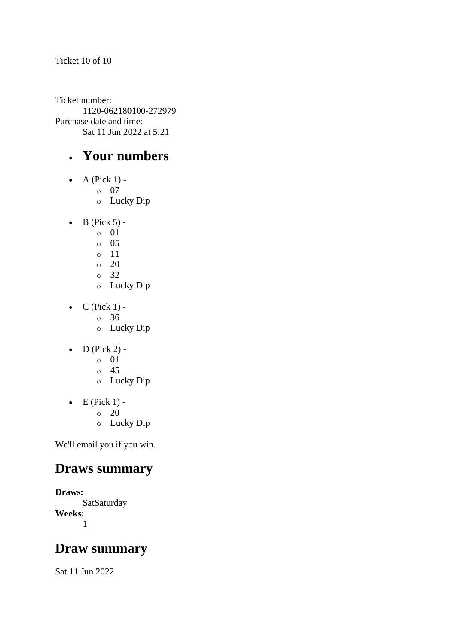Ticket number: 1120-062180100-272979 Purchase date and time: Sat 11 Jun 2022 at 5:21

#### • **Your numbers**

- $\bullet$  A (Pick 1)
	- o 07
	- o Lucky Dip
- $\bullet$  B (Pick 5)
	- o 01
	- o 05
	- o 11
	- $\circ$  20
	- o 32
	- o Lucky Dip
- $\bullet$  C (Pick 1)
	- o 36
	- o Lucky Dip
- $\bullet$  D (Pick 2)
	- o 01
	- o 45
	- o Lucky Dip
- $\bullet$  E (Pick 1) -
	- $\circ$  20
	- o Lucky Dip

We'll email you if you win.

#### **Draws summary**

```
Draws:
      SatSaturday
Weeks:
      1
```
#### **Draw summary**

Sat 11 Jun 2022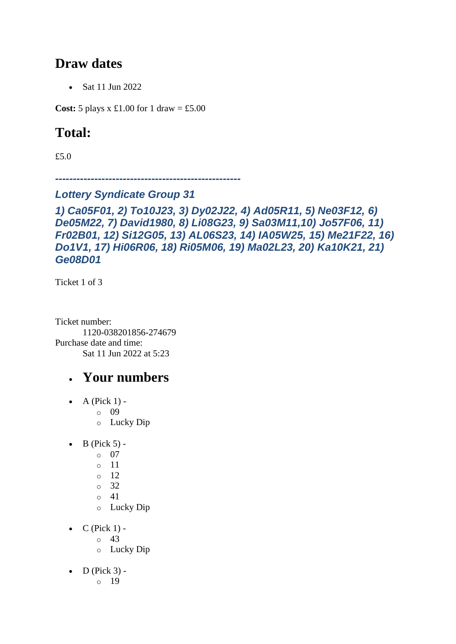#### **Draw dates**

• Sat 11 Jun 2022

**Cost:** 5 plays x £1.00 for 1 draw = £5.00

## **Total:**

£5.0

*----------------------------------------------------*

#### *Lottery Syndicate Group 31*

*1) Ca05F01, 2) To10J23, 3) Dy02J22, 4) Ad05R11, 5) Ne03F12, 6) De05M22, 7) David1980, 8) Li08G23, 9) Sa03M11,10) Jo57F06, 11) Fr02B01, 12) Si12G05, 13) AL06S23, 14) IA05W25, 15) Me21F22, 16) Do1V1, 17) Hi06R06, 18) Ri05M06, 19) Ma02L23, 20) Ka10K21, 21) Ge08D01*

Ticket 1 of 3

Ticket number: 1120-038201856-274679 Purchase date and time: Sat 11 Jun 2022 at 5:23

- A (Pick  $1$ )
	- o 09
		- o Lucky Dip
- $\bullet$  B (Pick 5)
	- o 07
	- o 11
	- o 12
	- o 32
	- o 41
	- o Lucky Dip
- $C$  (Pick 1) -
	- $\circ$  43
	- o Lucky Dip
- $D$  (Pick 3)
	- o 19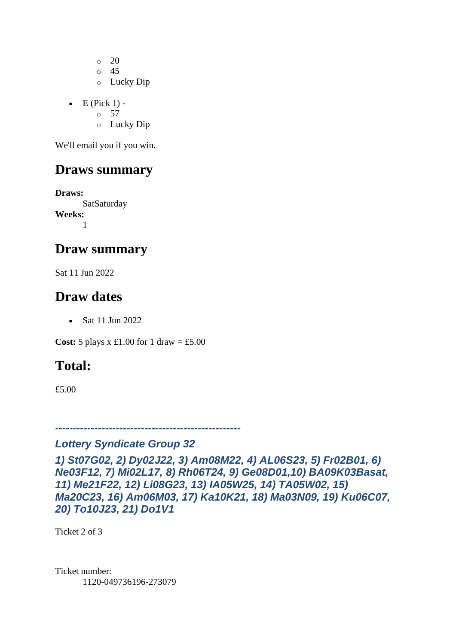o 20 o 45 o Lucky Dip

- $\bullet$  E (Pick 1) -
	- $\circ$  57
	- o Lucky Dip

We'll email you if you win.

#### **Draws summary**

**Draws: SatSaturday Weeks:** 1

#### **Draw summary**

Sat 11 Jun 2022

#### **Draw dates**

• Sat 11 Jun 2022

**Cost:** 5 plays x £1.00 for 1 draw = £5.00

## **Total:**

£5.00

*----------------------------------------------------*

#### *Lottery Syndicate Group 32*

*1) St07G02, 2) Dy02J22, 3) Am08M22, 4) AL06S23, 5) Fr02B01, 6) Ne03F12, 7) Mi02L17, 8) Rh06T24, 9) Ge08D01,10) BA09K03Basat, 11) Me21F22, 12) Li08G23, 13) IA05W25, 14) TA05W02, 15) Ma20C23, 16) Am06M03, 17) Ka10K21, 18) Ma03N09, 19) Ku06C07, 20) To10J23, 21) Do1V1*

Ticket 2 of 3

Ticket number: 1120-049736196-273079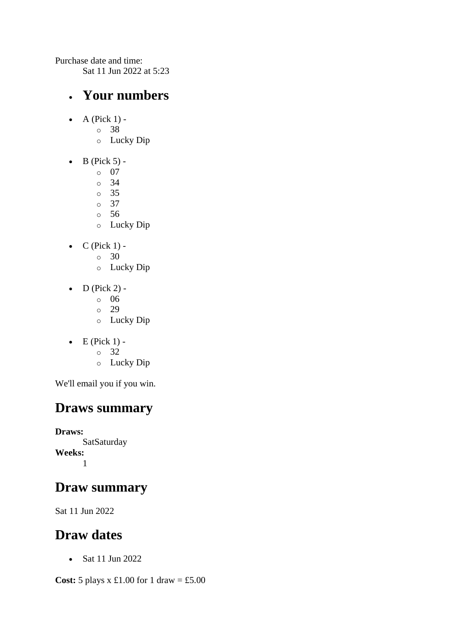Purchase date and time:

Sat 11 Jun 2022 at 5:23

#### • **Your numbers**

- $\bullet$  A (Pick 1)
	- o 38
		- o Lucky Dip
- $\bullet$  B (Pick 5)
	- o 07
	- $\circ$  34
	- o 35
	- o 37
	- o 56 o Lucky Dip
- $\bullet$  C (Pick 1)
	- o 30
	- o Lucky Dip
- $\bullet$  D (Pick 2)
	- o 06
	- o 29
	- o Lucky Dip
- $\bullet$  E (Pick 1)
	- o 32
	- o Lucky Dip

We'll email you if you win.

## **Draws summary**

**Draws: SatSaturday Weeks:** 1

## **Draw summary**

Sat 11 Jun 2022

## **Draw dates**

• Sat 11 Jun 2022

**Cost:**  $5$  plays x  $\pounds1.00$  for  $1$  draw =  $\pounds5.00$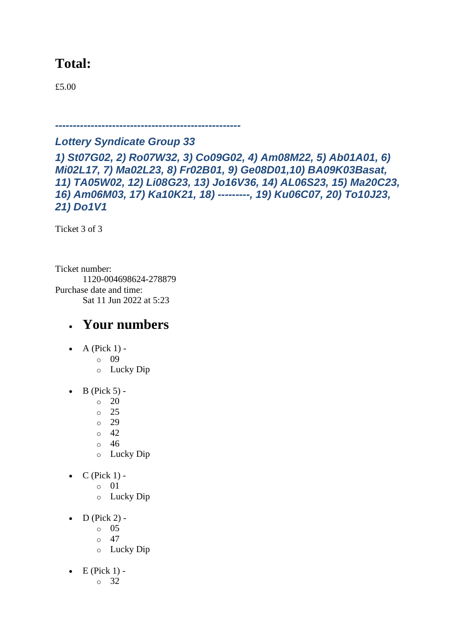### **Total:**

£5.00

*----------------------------------------------------*

#### *Lottery Syndicate Group 33*

*1) St07G02, 2) Ro07W32, 3) Co09G02, 4) Am08M22, 5) Ab01A01, 6) Mi02L17, 7) Ma02L23, 8) Fr02B01, 9) Ge08D01,10) BA09K03Basat, 11) TA05W02, 12) Li08G23, 13) Jo16V36, 14) AL06S23, 15) Ma20C23, 16) Am06M03, 17) Ka10K21, 18) ---------, 19) Ku06C07, 20) To10J23, 21) Do1V1*

Ticket 3 of 3

Ticket number: 1120-004698624-278879 Purchase date and time: Sat 11 Jun 2022 at 5:23

- $\bullet$  A (Pick 1)
	- o 09
	- o Lucky Dip
- $\bullet$  B (Pick 5) -
	- $\circ$  20
	- o 25
	- o 29
	- $\circ$  42
	- o 46
	- o Lucky Dip
- $\bullet$  C (Pick 1)
	- o 01
	- o Lucky Dip
- $\bullet$  D (Pick 2)
	- o 05
	- $\circ$  47
	- o Lucky Dip
- $\bullet$  E (Pick 1)
	- o 32